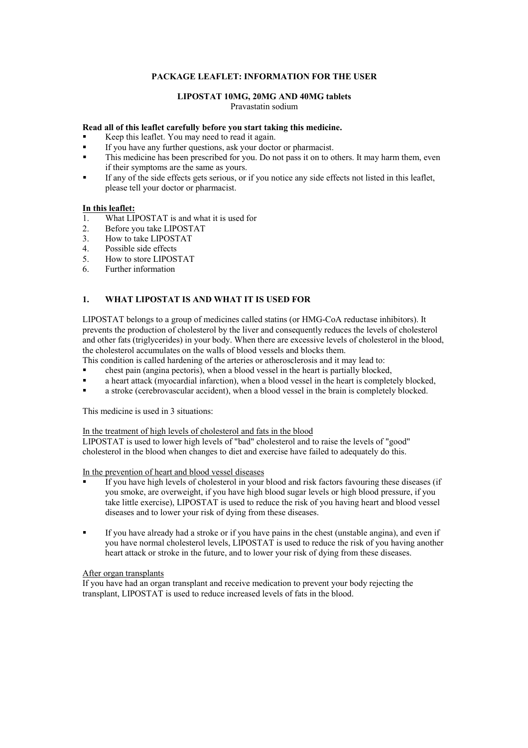# **PACKAGE LEAFLET: INFORMATION FOR THE USER**

#### **LIPOSTAT 10MG, 20MG AND 40MG tablets** Pravastatin sodium

### **Read all of this leaflet carefully before you start taking this medicine.**

- Keep this leaflet. You may need to read it again.
- If you have any further questions, ask your doctor or pharmacist.
- This medicine has been prescribed for you. Do not pass it on to others. It may harm them, even if their symptoms are the same as yours.
- If any of the side effects gets serious, or if you notice any side effects not listed in this leaflet, please tell your doctor or pharmacist.

## **In this leaflet:**

- 1. What LIPOSTAT is and what it is used for
- 2. Before you take LIPOSTAT
- 3. How to take LIPOSTAT
- 4. Possible side effects
- 5. How to store LIPOSTAT
- 6. Further information

## **1. WHAT LIPOSTAT IS AND WHAT IT IS USED FOR**

LIPOSTAT belongs to a group of medicines called statins (or HMG-CoA reductase inhibitors). It prevents the production of cholesterol by the liver and consequently reduces the levels of cholesterol and other fats (triglycerides) in your body. When there are excessive levels of cholesterol in the blood, the cholesterol accumulates on the walls of blood vessels and blocks them.

This condition is called hardening of the arteries or atherosclerosis and it may lead to:

- chest pain (angina pectoris), when a blood vessel in the heart is partially blocked,
- a heart attack (myocardial infarction), when a blood vessel in the heart is completely blocked,
- a stroke (cerebrovascular accident), when a blood vessel in the brain is completely blocked.

This medicine is used in 3 situations:

In the treatment of high levels of cholesterol and fats in the blood

LIPOSTAT is used to lower high levels of "bad" cholesterol and to raise the levels of "good" cholesterol in the blood when changes to diet and exercise have failed to adequately do this.

In the prevention of heart and blood vessel diseases

- If you have high levels of cholesterol in your blood and risk factors favouring these diseases (if you smoke, are overweight, if you have high blood sugar levels or high blood pressure, if you take little exercise), LIPOSTAT is used to reduce the risk of you having heart and blood vessel diseases and to lower your risk of dying from these diseases.
- If you have already had a stroke or if you have pains in the chest (unstable angina), and even if you have normal cholesterol levels, LIPOSTAT is used to reduce the risk of you having another heart attack or stroke in the future, and to lower your risk of dying from these diseases.

#### After organ transplants

If you have had an organ transplant and receive medication to prevent your body rejecting the transplant, LIPOSTAT is used to reduce increased levels of fats in the blood.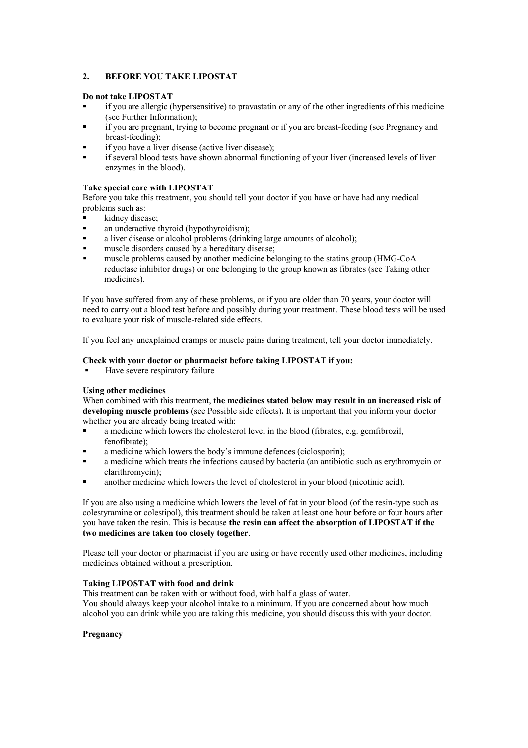# **2. BEFORE YOU TAKE LIPOSTAT**

## **Do not take LIPOSTAT**

- if you are allergic (hypersensitive) to pravastatin or any of the other ingredients of this medicine (see Further Information);
- if you are pregnant, trying to become pregnant or if you are breast-feeding (see Pregnancy and breast-feeding);
- if you have a liver disease (active liver disease);
- if several blood tests have shown abnormal functioning of your liver (increased levels of liver enzymes in the blood).

## **Take special care with LIPOSTAT**

Before you take this treatment, you should tell your doctor if you have or have had any medical problems such as:

- kidney disease;
- an underactive thyroid (hypothyroidism);
- a liver disease or alcohol problems (drinking large amounts of alcohol);
- muscle disorders caused by a hereditary disease;
- muscle problems caused by another medicine belonging to the statins group (HMG-CoA reductase inhibitor drugs) or one belonging to the group known as fibrates (see Taking other medicines).

If you have suffered from any of these problems, or if you are older than 70 years, your doctor will need to carry out a blood test before and possibly during your treatment. These blood tests will be used to evaluate your risk of muscle-related side effects.

If you feel any unexplained cramps or muscle pains during treatment, tell your doctor immediately.

## **Check with your doctor or pharmacist before taking LIPOSTAT if you:**

Have severe respiratory failure

## **Using other medicines**

When combined with this treatment, **the medicines stated below may result in an increased risk of developing muscle problems** (see Possible side effects) **.** It is important that you inform your doctor whether you are already being treated with:

- a medicine which lowers the cholesterol level in the blood (fibrates, e.g. gemfibrozil, fenofibrate);
- a medicine which lowers the body's immune defences (ciclosporin);
- a medicine which treats the infections caused by bacteria (an antibiotic such as erythromycin or clarithromycin);
- another medicine which lowers the level of cholesterol in your blood (nicotinic acid).

If you are also using a medicine which lowers the level of fat in your blood (of the resin-type such as colestyramine or colestipol), this treatment should be taken at least one hour before or four hours after you have taken the resin. This is because **the resin can affect the absorption of LIPOSTAT if the two medicines are taken too closely together**.

Please tell your doctor or pharmacist if you are using or have recently used other medicines, including medicines obtained without a prescription.

## **Taking LIPOSTAT with food and drink**

This treatment can be taken with or without food, with half a glass of water. You should always keep your alcohol intake to a minimum. If you are concerned about how much alcohol you can drink while you are taking this medicine, you should discuss this with your doctor.

## **Pregnancy**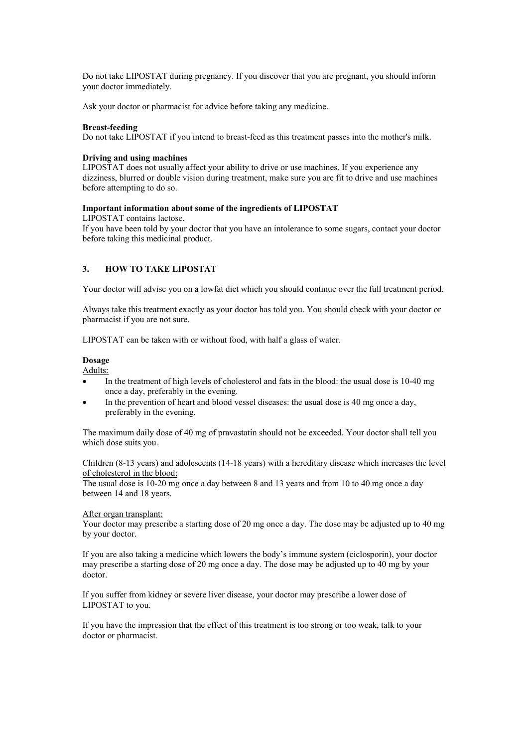Do not take LIPOSTAT during pregnancy. If you discover that you are pregnant, you should inform your doctor immediately.

Ask your doctor or pharmacist for advice before taking any medicine.

#### **Breast-feeding**

Do not take LIPOSTAT if you intend to breast-feed as this treatment passes into the mother's milk.

#### **Driving and using machines**

LIPOSTAT does not usually affect your ability to drive or use machines. If you experience any dizziness, blurred or double vision during treatment, make sure you are fit to drive and use machines before attempting to do so.

### **Important information about some of the ingredients of LIPOSTAT**

LIPOSTAT contains lactose.

If you have been told by your doctor that you have an intolerance to some sugars, contact your doctor before taking this medicinal product.

### **3. HOW TO TAKE LIPOSTAT**

Your doctor will advise you on a lowfat diet which you should continue over the full treatment period.

Always take this treatment exactly as your doctor has told you. You should check with your doctor or pharmacist if you are not sure.

LIPOSTAT can be taken with or without food, with half a glass of water.

#### **Dosage**

Adults:

- In the treatment of high levels of cholesterol and fats in the blood: the usual dose is 10-40 mg once a day, preferably in the evening.
- In the prevention of heart and blood vessel diseases: the usual dose is 40 mg once a day, preferably in the evening.

The maximum daily dose of 40 mg of pravastatin should not be exceeded. Your doctor shall tell you which dose suits you.

### Children (8-13 years) and adolescents (14-18 years) with a hereditary disease which increases the level of cholesterol in the blood:

The usual dose is 10-20 mg once a day between 8 and 13 years and from 10 to 40 mg once a day between 14 and 18 years.

# After organ transplant:

Your doctor may prescribe a starting dose of 20 mg once a day. The dose may be adjusted up to 40 mg by your doctor.

If you are also taking a medicine which lowers the body's immune system (ciclosporin), your doctor may prescribe a starting dose of 20 mg once a day. The dose may be adjusted up to 40 mg by your doctor.

If you suffer from kidney or severe liver disease, your doctor may prescribe a lower dose of LIPOSTAT to you.

If you have the impression that the effect of this treatment is too strong or too weak, talk to your doctor or pharmacist.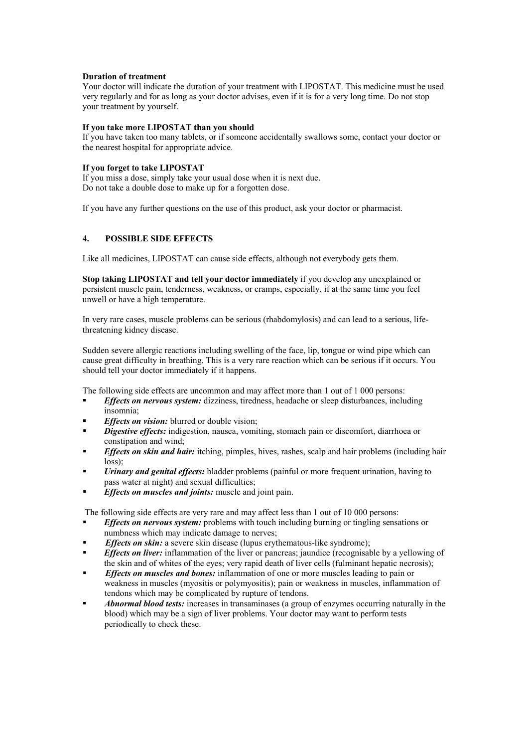## **Duration of treatment**

Your doctor will indicate the duration of your treatment with LIPOSTAT. This medicine must be used very regularly and for as long as your doctor advises, even if it is for a very long time. Do not stop your treatment by yourself.

### **If you take more LIPOSTAT than you should**

If you have taken too many tablets, or if someone accidentally swallows some, contact your doctor or the nearest hospital for appropriate advice.

### **If you forget to take LIPOSTAT**

If you miss a dose, simply take your usual dose when it is next due. Do not take a double dose to make up for a forgotten dose.

If you have any further questions on the use of this product, ask your doctor or pharmacist.

## **4. POSSIBLE SIDE EFFECTS**

Like all medicines, LIPOSTAT can cause side effects, although not everybody gets them.

**Stop taking LIPOSTAT and tell your doctor immediately** if you develop any unexplained or persistent muscle pain, tenderness, weakness, or cramps, especially, if at the same time you feel unwell or have a high temperature.

In very rare cases, muscle problems can be serious (rhabdomylosis) and can lead to a serious, lifethreatening kidney disease.

Sudden severe allergic reactions including swelling of the face, lip, tongue or wind pipe which can cause great difficulty in breathing. This is a very rare reaction which can be serious if it occurs. You should tell your doctor immediately if it happens.

The following side effects are uncommon and may affect more than 1 out of 1 000 persons:

- *Effects on nervous system:* dizziness, tiredness, headache or sleep disturbances, including insomnia;
- *Effects on vision:* blurred or double vision;
- *Digestive effects:* indigestion, nausea, vomiting, stomach pain or discomfort, diarrhoea or constipation and wind;
- *Effects on skin and hair:* itching, pimples, hives, rashes, scalp and hair problems (including hair loss);
- *Urinary and genital effects:* bladder problems (painful or more frequent urination, having to pass water at night) and sexual difficulties;
- *Effects on muscles and joints:* muscle and joint pain.

The following side effects are very rare and may affect less than 1 out of 10 000 persons:

- *Effects on nervous system:* problems with touch including burning or tingling sensations or numbness which may indicate damage to nerves;
- *Effects on skin:* a severe skin disease (lupus erythematous-like syndrome);
- *Effects on liver:* inflammation of the liver or pancreas; jaundice (recognisable by a yellowing of the skin and of whites of the eyes; very rapid death of liver cells (fulminant hepatic necrosis);
- *Effects on muscles and bones:* inflammation of one or more muscles leading to pain or weakness in muscles (myositis or polymyositis); pain or weakness in muscles, inflammation of tendons which may be complicated by rupture of tendons.
- *Abnormal blood tests:* increases in transaminases (a group of enzymes occurring naturally in the blood) which may be a sign of liver problems. Your doctor may want to perform tests periodically to check these.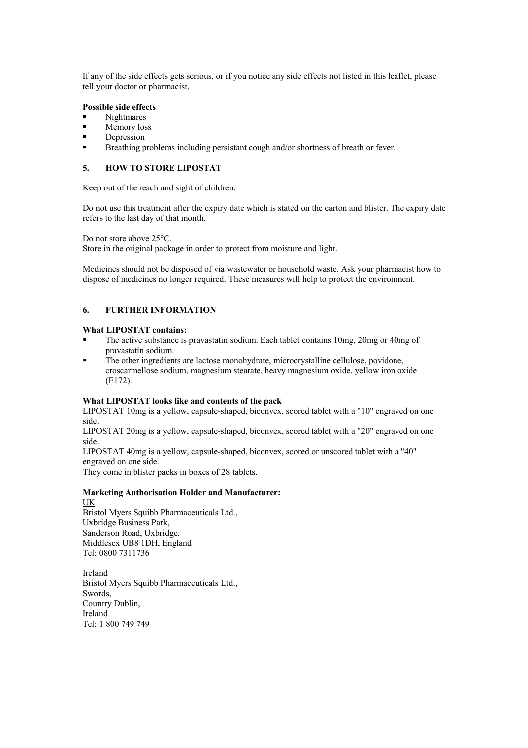If any of the side effects gets serious, or if you notice any side effects not listed in this leaflet, please tell your doctor or pharmacist.

### **Possible side effects**

- Nightmares
- Memory loss
- Depression
- Breathing problems including persistant cough and/or shortness of breath or fever.

## **5. HOW TO STORE LIPOSTAT**

Keep out of the reach and sight of children.

Do not use this treatment after the expiry date which is stated on the carton and blister. The expiry date refers to the last day of that month.

Do not store above 25°C.

Store in the original package in order to protect from moisture and light.

Medicines should not be disposed of via wastewater or household waste. Ask your pharmacist how to dispose of medicines no longer required. These measures will help to protect the environment.

## **6. FURTHER INFORMATION**

### **What LIPOSTAT contains:**

- The active substance is pravastatin sodium. Each tablet contains 10mg, 20mg or 40mg of pravastatin sodium.
- The other ingredients are lactose monohydrate, microcrystalline cellulose, povidone, croscarmellose sodium, magnesium stearate, heavy magnesium oxide, yellow iron oxide (E172).

#### **What LIPOSTAT looks like and contents of the pack**

LIPOSTAT 10mg is a yellow, capsule-shaped, biconvex, scored tablet with a "10" engraved on one side.

LIPOSTAT 20mg is a yellow, capsule-shaped, biconvex, scored tablet with a "20" engraved on one side.

LIPOSTAT 40mg is a yellow, capsule-shaped, biconvex, scored or unscored tablet with a "40" engraved on one side.

They come in blister packs in boxes of 28 tablets.

#### **Marketing Authorisation Holder and Manufacturer:** UK

Bristol Myers Squibb Pharmaceuticals Ltd., Uxbridge Business Park, Sanderson Road, Uxbridge, Middlesex UB8 1DH, England Tel: 0800 7311736

Bristol Myers Squibb Pharmaceuticals Ltd., Ireland Swords, Country Dublin, Ireland Tel: 1 800 749 749